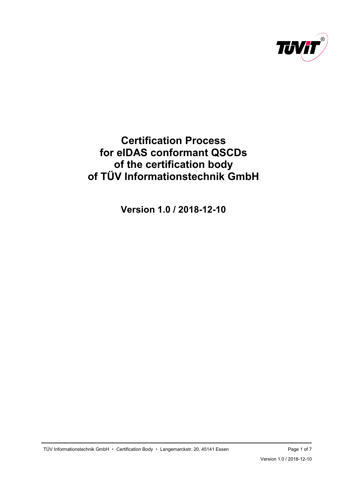

# <span id="page-0-0"></span>**Certification Process for eIDAS conformant QSCDs of the certification body of TÜV Informationstechnik GmbH**

**[Version 1.0](#page-6-0) / [2018-12-10](#page-0-0)**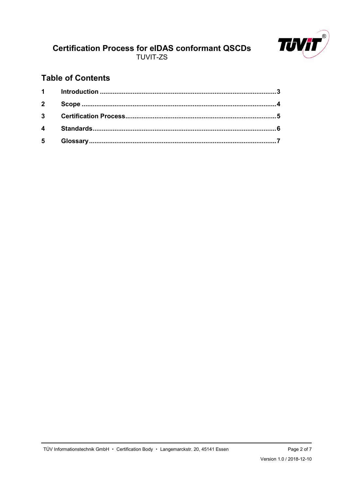

## **Table of Contents**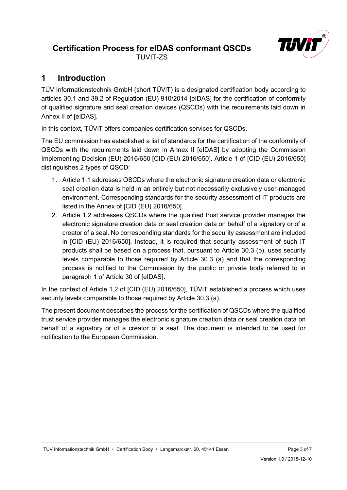

## <span id="page-2-0"></span>**1 Introduction**

TÜV Informationstechnik GmbH (short TÜViT) is a designated certification body according to articles 30.1 and 39.2 of Regulation (EU) 910/2014 [eIDAS] for the certification of conformity of qualified signature and seal creation devices (QSCDs) with the requirements laid down in Annex II of [eIDAS].

In this context, TÜViT offers companies certification services for QSCDs.

The EU commission has established a list of standards for the certification of the conformity of QSCDs with the requirements laid down in Annex II [eIDAS] by adopting the Commission Implementing Decision (EU) 2016/650 [CID (EU) 2016/650]. Article 1 of [CID (EU) 2016/650] distinguishes 2 types of QSCD:

- 1. Article 1.1 addresses QSCDs where the electronic signature creation data or electronic seal creation data is held in an entirely but not necessarily exclusively user-managed environment. Corresponding standards for the security assessment of IT products are listed in the Annex of [CID (EU) 2016/650].
- 2. Article 1.2 addresses QSCDs where the qualified trust service provider manages the electronic signature creation data or seal creation data on behalf of a signatory or of a creator of a seal. No corresponding standards for the security assessment are included in [CID (EU) 2016/650]. Instead, it is required that security assessment of such IT products shall be based on a process that, pursuant to Article 30.3 (b), uses security levels comparable to those required by Article 30.3 (a) and that the corresponding process is notified to the Commission by the public or private body referred to in paragraph 1 of Article 30 of [eIDAS].

In the context of Article 1.2 of [CID (EU) 2016/650], TÜViT established a process which uses security levels comparable to those required by Article 30.3 (a).

The present document describes the process for the certification of QSCDs where the qualified trust service provider manages the electronic signature creation data or seal creation data on behalf of a signatory or of a creator of a seal. The document is intended to be used for notification to the European Commission.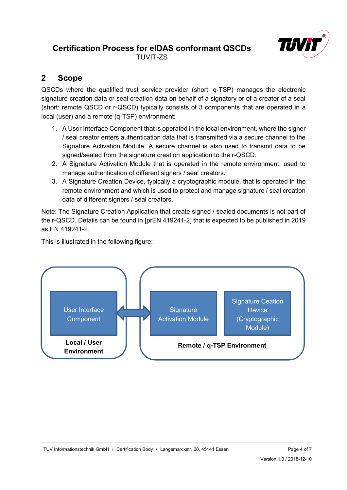

## <span id="page-3-0"></span>**2 Scope**

QSCDs where the qualified trust service provider (short: q-TSP) manages the electronic signature creation data or seal creation data on behalf of a signatory or of a creator of a seal (short: remote QSCD or r-QSCD) typically consists of 3 components that are operated in a local (user) and a remote (q-TSP) environment:

- 1. A User Interface Component that is operated in the local environment, where the signer / seal creator enters authentication data that is transmitted via a secure channel to the Signature Activation Module. A secure channel is also used to transmit data to be signed/sealed from the signature creation application to the r-QSCD.
- 2. A Signature Activation Module that is operated in the remote environment, used to manage authentication of different signers / seal creators.
- 3. A Signature Creation Device, typically a cryptographic module, that is operated in the remote environment and which is used to protect and manage signature / seal creation data of different signers / seal creators.

Note: The Signature Creation Application that create signed / sealed documents is not part of the r-QSCD. Details can be found in [prEN 419241-2] that is expected to be published in 2019 as EN 419241-2.

This is illustrated in the following figure:

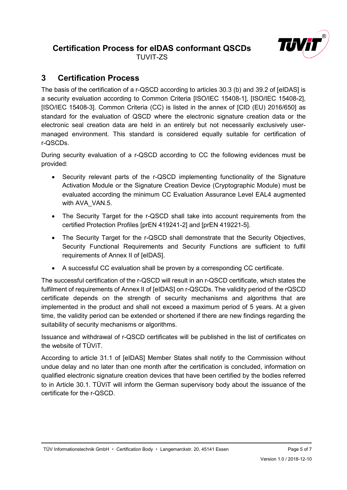

TUVIT-ZS

## <span id="page-4-0"></span>**3 Certification Process**

The basis of the certification of a r-QSCD according to articles 30.3 (b) and 39.2 of [eIDAS] is a security evaluation according to Common Criteria [ISO/IEC 15408-1], [ISO/IEC 15408-2], [ISO/IEC 15408-3]. Common Criteria (CC) is listed in the annex of [CID (EU) 2016/650] as standard for the evaluation of QSCD where the electronic signature creation data or the electronic seal creation data are held in an entirely but not necessarily exclusively usermanaged environment. This standard is considered equally suitable for certification of r-QSCDs.

During security evaluation of a r-QSCD according to CC the following evidences must be provided:

- Security relevant parts of the r-QSCD implementing functionality of the Signature Activation Module or the Signature Creation Device (Cryptographic Module) must be evaluated according the minimum CC Evaluation Assurance Level EAL4 augmented with AVA\_VAN.5.
- The Security Target for the r-QSCD shall take into account requirements from the certified Protection Profiles [prEN 419241-2] and [prEN 419221-5].
- The Security Target for the r-QSCD shall demonstrate that the Security Objectives, Security Functional Requirements and Security Functions are sufficient to fulfil requirements of Annex II of [eIDAS].
- A successful CC evaluation shall be proven by a corresponding CC certificate.

The successful certification of the r-QSCD will result in an r-QSCD certificate, which states the fulfilment of requirements of Annex II of [eIDAS] on r-QSCDs. The validity period of the rQSCD certificate depends on the strength of security mechanisms and algorithms that are implemented in the product and shall not exceed a maximum period of 5 years. At a given time, the validity period can be extended or shortened if there are new findings regarding the suitability of security mechanisms or algorithms.

Issuance and withdrawal of r-QSCD certificates will be published in the list of certificates on the website of TÜViT.

According to article 31.1 of [eIDAS] Member States shall notify to the Commission without undue delay and no later than one month after the certification is concluded, information on qualified electronic signature creation devices that have been certified by the bodies referred to in Article 30.1. TÜViT will inform the German supervisory body about the issuance of the certificate for the r-QSCD.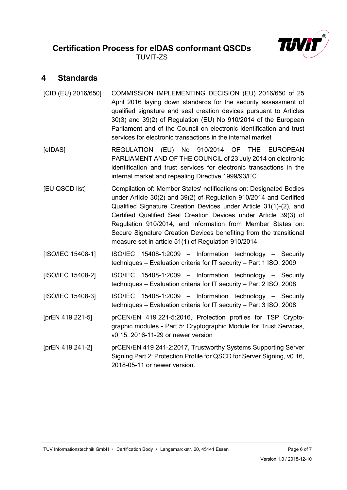#### <span id="page-5-0"></span>**4 Standards**

| [CID (EU) 2016/650] | COMMISSION IMPLEMENTING DECISION (EU) 2016/650 of 25<br>April 2016 laying down standards for the security assessment of<br>qualified signature and seal creation devices pursuant to Articles<br>30(3) and 39(2) of Regulation (EU) No 910/2014 of the European<br>Parliament and of the Council on electronic identification and trust<br>services for electronic transactions in the internal market                                                                        |
|---------------------|-------------------------------------------------------------------------------------------------------------------------------------------------------------------------------------------------------------------------------------------------------------------------------------------------------------------------------------------------------------------------------------------------------------------------------------------------------------------------------|
| [elDAS]             | REGULATION (EU) No 910/2014 OF THE<br><b>EUROPEAN</b><br>PARLIAMENT AND OF THE COUNCIL of 23 July 2014 on electronic<br>identification and trust services for electronic transactions in the<br>internal market and repealing Directive 1999/93/EC                                                                                                                                                                                                                            |
| [EU QSCD list]      | Compilation of: Member States' notifications on: Designated Bodies<br>under Article 30(2) and 39(2) of Regulation 910/2014 and Certified<br>Qualified Signature Creation Devices under Article 31(1)-(2), and<br>Certified Qualified Seal Creation Devices under Article 39(3) of<br>Regulation 910/2014, and information from Member States on:<br>Secure Signature Creation Devices benefiting from the transitional<br>measure set in article 51(1) of Regulation 910/2014 |
| [ISO/IEC 15408-1]   | ISO/IEC 15408-1:2009 - Information technology - Security<br>techniques - Evaluation criteria for IT security - Part 1 ISO, 2009                                                                                                                                                                                                                                                                                                                                               |
| [ISO/IEC 15408-2]   | ISO/IEC 15408-1:2009 - Information technology - Security<br>techniques - Evaluation criteria for IT security - Part 2 ISO, 2008                                                                                                                                                                                                                                                                                                                                               |
| [ISO/IEC 15408-3]   | ISO/IEC 15408-1:2009 - Information technology - Security<br>techniques - Evaluation criteria for IT security - Part 3 ISO, 2008                                                                                                                                                                                                                                                                                                                                               |
| [prEN 419 221-5]    | prCEN/EN 419 221-5:2016, Protection profiles for TSP Crypto-<br>graphic modules - Part 5: Cryptographic Module for Trust Services,<br>v0.15, 2016-11-29 or newer version                                                                                                                                                                                                                                                                                                      |
| [prEN 419 241-2]    | prCEN/EN 419 241-2:2017, Trustworthy Systems Supporting Server<br>Signing Part 2: Protection Profile for QSCD for Server Signing, v0.16,<br>2018-05-11 or newer version.                                                                                                                                                                                                                                                                                                      |